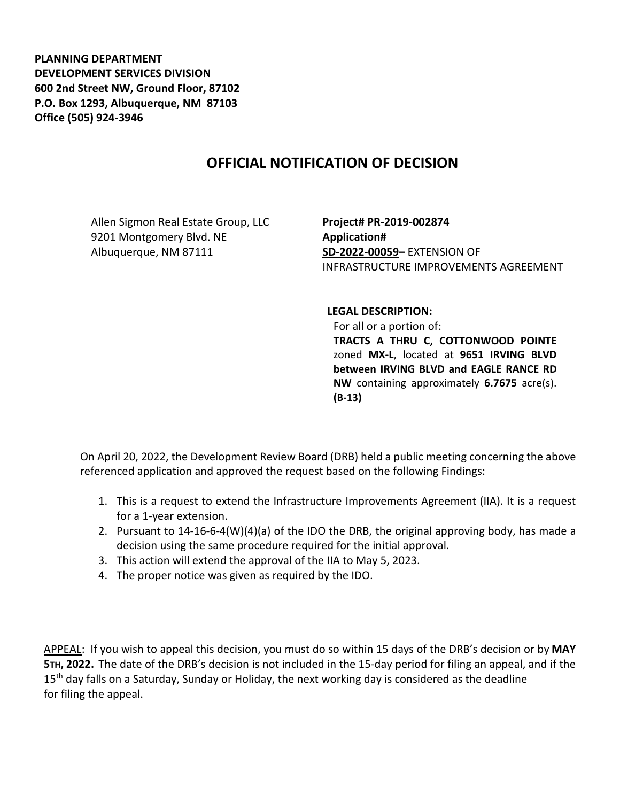**PLANNING DEPARTMENT DEVELOPMENT SERVICES DIVISION 600 2nd Street NW, Ground Floor, 87102 P.O. Box 1293, Albuquerque, NM 87103 Office (505) 924-3946** 

## **OFFICIAL NOTIFICATION OF DECISION**

Allen Sigmon Real Estate Group, LLC 9201 Montgomery Blvd. NE Albuquerque, NM 87111

**Project# PR-2019-002874 Application# SD-2022-00059–** EXTENSION OF INFRASTRUCTURE IMPROVEMENTS AGREEMENT

## **LEGAL DESCRIPTION:**

For all or a portion of: **TRACTS A THRU C, COTTONWOOD POINTE**  zoned **MX-L**, located at **9651 IRVING BLVD between IRVING BLVD and EAGLE RANCE RD NW** containing approximately **6.7675** acre(s). **(B-13)** 

On April 20, 2022, the Development Review Board (DRB) held a public meeting concerning the above referenced application and approved the request based on the following Findings:

- 1. This is a request to extend the Infrastructure Improvements Agreement (IIA). It is a request for a 1-year extension.
- 2. Pursuant to 14-16-6-4(W)(4)(a) of the IDO the DRB, the original approving body, has made a decision using the same procedure required for the initial approval.
- 3. This action will extend the approval of the IIA to May 5, 2023.
- 4. The proper notice was given as required by the IDO.

APPEAL: If you wish to appeal this decision, you must do so within 15 days of the DRB's decision or by **MAY 5TH, 2022.** The date of the DRB's decision is not included in the 15-day period for filing an appeal, and if the 15<sup>th</sup> day falls on a Saturday, Sunday or Holiday, the next working day is considered as the deadline for filing the appeal.